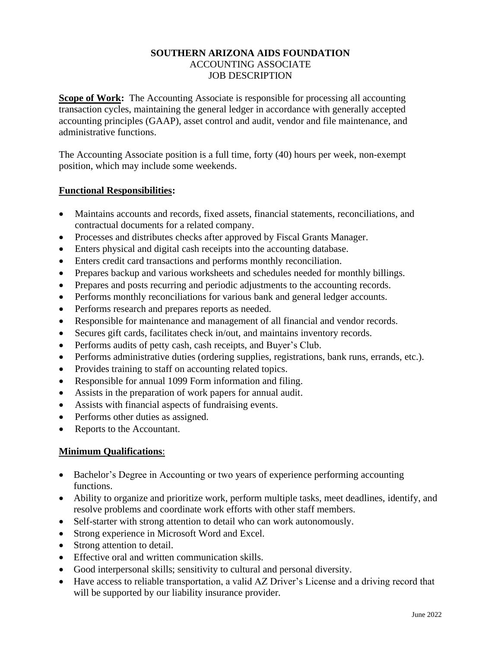## **SOUTHERN ARIZONA AIDS FOUNDATION** ACCOUNTING ASSOCIATE JOB DESCRIPTION

**Scope of Work:** The Accounting Associate is responsible for processing all accounting transaction cycles, maintaining the general ledger in accordance with generally accepted accounting principles (GAAP), asset control and audit, vendor and file maintenance, and administrative functions.

The Accounting Associate position is a full time, forty (40) hours per week, non-exempt position, which may include some weekends.

## **Functional Responsibilities:**

- Maintains accounts and records, fixed assets, financial statements, reconciliations, and contractual documents for a related company.
- Processes and distributes checks after approved by Fiscal Grants Manager.
- Enters physical and digital cash receipts into the accounting database.
- Enters credit card transactions and performs monthly reconciliation.
- Prepares backup and various worksheets and schedules needed for monthly billings.
- Prepares and posts recurring and periodic adjustments to the accounting records.
- Performs monthly reconciliations for various bank and general ledger accounts.
- Performs research and prepares reports as needed.
- Responsible for maintenance and management of all financial and vendor records.
- Secures gift cards, facilitates check in/out, and maintains inventory records.
- Performs audits of petty cash, cash receipts, and Buyer's Club.
- Performs administrative duties (ordering supplies, registrations, bank runs, errands, etc.).
- Provides training to staff on accounting related topics.
- Responsible for annual 1099 Form information and filing.
- Assists in the preparation of work papers for annual audit.
- Assists with financial aspects of fundraising events.
- Performs other duties as assigned.
- Reports to the Accountant.

## **Minimum Qualifications**:

- Bachelor's Degree in Accounting or two years of experience performing accounting functions.
- Ability to organize and prioritize work, perform multiple tasks, meet deadlines, identify, and resolve problems and coordinate work efforts with other staff members.
- Self-starter with strong attention to detail who can work autonomously.
- Strong experience in Microsoft Word and Excel.
- Strong attention to detail.
- Effective oral and written communication skills.
- Good interpersonal skills; sensitivity to cultural and personal diversity.
- Have access to reliable transportation, a valid AZ Driver's License and a driving record that will be supported by our liability insurance provider.